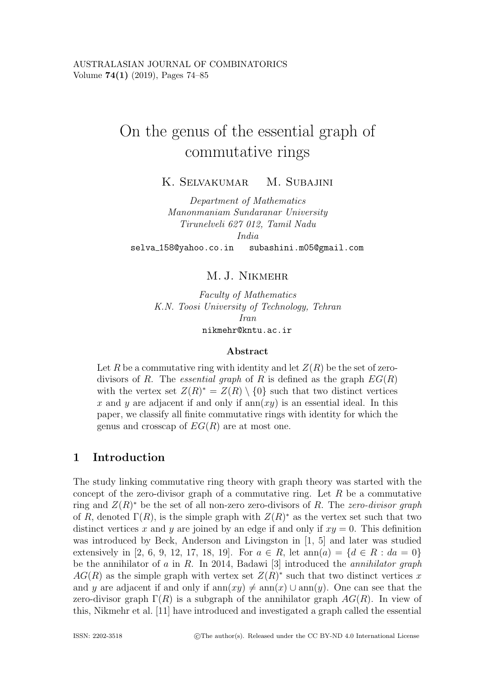# On the genus of the essential graph of commutative rings

K. SELVAKUMAR M. SUBAJINI

*Department of Mathematics Manonmaniam Sundaranar University Tirunelveli 627 012, Tamil Nadu India*

selva 158@yahoo.co.in subashini.m05@gmail.com

## M. J. Nikmehr

*Faculty of Mathematics K.N. Toosi University of Technology, Tehran Iran* nikmehr@kntu.ac.ir

#### **Abstract**

Let R be a commutative ring with identity and let  $Z(R)$  be the set of zerodivisors of R. The *essential graph* of R is defined as the graph  $EG(R)$ with the vertex set  $Z(R)^* = Z(R) \setminus \{0\}$  such that two distinct vertices x and y are adjacent if and only if  $ann(xy)$  is an essential ideal. In this paper, we classify all finite commutative rings with identity for which the genus and crosscap of  $EG(R)$  are at most one.

# **1 Introduction**

The study linking commutative ring theory with graph theory was started with the concept of the zero-divisor graph of a commutative ring. Let  $R$  be a commutative ring and Z(R)<sup>∗</sup> be the set of all non-zero zero-divisors of R. The *zero-divisor graph* of R, denoted  $\Gamma(R)$ , is the simple graph with  $Z(R)^*$  as the vertex set such that two distinct vertices x and y are joined by an edge if and only if  $xy = 0$ . This definition was introduced by Beck, Anderson and Livingston in [1, 5] and later was studied extensively in [2, 6, 9, 12, 17, 18, 19]. For  $a \in R$ , let  $ann(a) = \{d \in R : da = 0\}$ be the annihilator of a in R. In 2014, Badawi [3] introduced the *annihilator graph*  $AG(R)$  as the simple graph with vertex set  $Z(R)^*$  such that two distinct vertices x and y are adjacent if and only if  $ann(xy) \neq ann(x) \cup ann(y)$ . One can see that the zero-divisor graph  $\Gamma(R)$  is a subgraph of the annihilator graph  $AG(R)$ . In view of this, Nikmehr et al. [11] have introduced and investigated a graph called the essential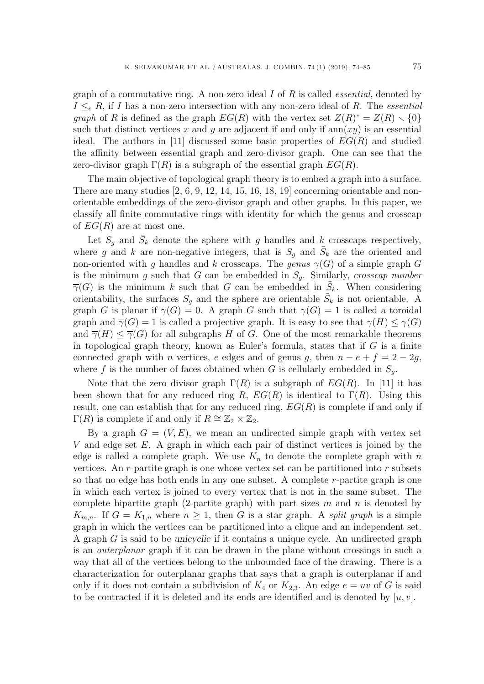graph of a commutative ring. A non-zero ideal I of R is called *essential*, denoted by  $I \leq_e R$ , if I has a non-zero intersection with any non-zero ideal of R. The *essential graph* of R is defined as the graph  $EG(R)$  with the vertex set  $Z(R)^* = Z(R) \setminus \{0\}$ such that distinct vertices x and y are adjacent if and only if  $ann(xy)$  is an essential ideal. The authors in [11] discussed some basic properties of  $EG(R)$  and studied the affinity between essential graph and zero-divisor graph. One can see that the zero-divisor graph  $\Gamma(R)$  is a subgraph of the essential graph  $EG(R)$ .

The main objective of topological graph theory is to embed a graph into a surface. There are many studies  $[2, 6, 9, 12, 14, 15, 16, 18, 19]$  concerning orientable and nonorientable embeddings of the zero-divisor graph and other graphs. In this paper, we classify all finite commutative rings with identity for which the genus and crosscap of  $EG(R)$  are at most one.

Let  $S_g$  and  $\bar{S}_k$  denote the sphere with g handles and k crosscaps respectively, where g and k are non-negative integers, that is  $S_q$  and  $\overline{S}_k$  are the oriented and non-oriented with g handles and k crosscaps. The genus  $\gamma(G)$  of a simple graph G is the minimum <sup>g</sup> such that <sup>G</sup> can be embedded in <sup>S</sup>*g*. Similarly, *crosscap number*  $\overline{\gamma}(G)$  is the minimum k such that G can be embedded in  $S_k$ . When considering orientability, the surfaces  $S_q$  and the sphere are orientable  $\bar{S}_k$  is not orientable. A graph G is planar if  $\gamma(G) = 0$ . A graph G such that  $\gamma(G) = 1$  is called a toroidal graph and  $\overline{\gamma}(G) = 1$  is called a projective graph. It is easy to see that  $\gamma(H) \leq \gamma(G)$ and  $\overline{\gamma}(H) \leq \overline{\gamma}(G)$  for all subgraphs H of G. One of the most remarkable theorems in topological graph theory, known as Euler's formula, states that if  $G$  is a finite connected graph with *n* vertices, *e* edges and of genus g, then  $n - e + f = 2 - 2g$ , where f is the number of faces obtained when G is cellularly embedded in  $S_q$ .

Note that the zero divisor graph  $\Gamma(R)$  is a subgraph of  $EG(R)$ . In [11] it has been shown that for any reduced ring R,  $EG(R)$  is identical to  $\Gamma(R)$ . Using this result, one can establish that for any reduced ring,  $EG(R)$  is complete if and only if  $\Gamma(R)$  is complete if and only if  $R \cong \mathbb{Z}_2 \times \mathbb{Z}_2$ .

By a graph  $G = (V, E)$ , we mean an undirected simple graph with vertex set  $V$  and edge set  $E$ . A graph in which each pair of distinct vertices is joined by the edge is called a complete graph. We use  $K_n$  to denote the complete graph with n vertices. An r-partite graph is one whose vertex set can be partitioned into r subsets so that no edge has both ends in any one subset. A complete r-partite graph is one in which each vertex is joined to every vertex that is not in the same subset. The complete bipartite graph (2-partite graph) with part sizes  $m$  and  $n$  is denoted by  $K_{m,n}$ . If  $G = K_{1,n}$  where  $n \geq 1$ , then G is a star graph. A *split graph* is a simple graph in which the vertices can be partitioned into a clique and an independent set. A graph G is said to be *unicyclic* if it contains a unique cycle. An undirected graph is an *outerplanar* graph if it can be drawn in the plane without crossings in such a way that all of the vertices belong to the unbounded face of the drawing. There is a characterization for outerplanar graphs that says that a graph is outerplanar if and only if it does not contain a subdivision of  $K_4$  or  $K_{2,3}$ . An edge  $e = uv$  of G is said to be contracted if it is deleted and its ends are identified and is denoted by  $[u, v]$ .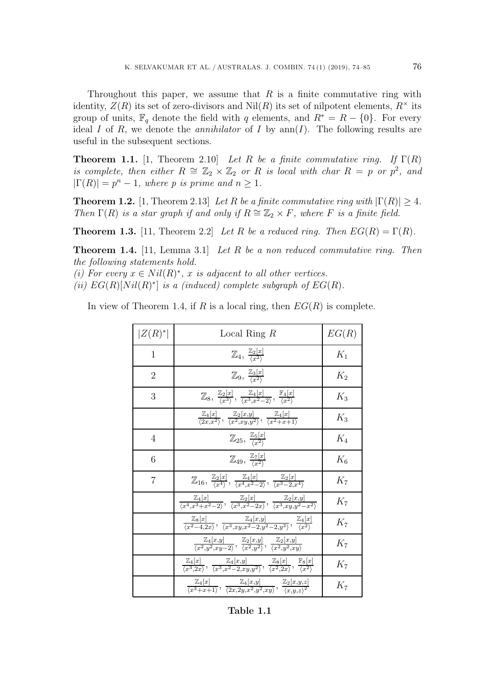Throughout this paper, we assume that  $R$  is a finite commutative ring with

identity,  $Z(R)$  its set of zero-divisors and Nil(R) its set of nilpotent elements,  $R^{\times}$  its group of units,  $\mathbb{F}_q$  denote the field with q elements, and  $R^* = R - \{0\}$ . For every ideal I of R, we denote the *annihilator* of I by  $ann(I)$ . The following results are useful in the subsequent sections.

**Theorem 1.1.** [1, Theorem 2.10] *Let* R *be a finite commutative ring.* If  $\Gamma(R)$ *is complete, then either*  $R \cong \mathbb{Z}_2 \times \mathbb{Z}_2$  *or* R *is local with char*  $R = p$  *or*  $p^2$ *, and*  $|\Gamma(R)| = p^n - 1$ , where p is prime and  $n > 1$ .

**Theorem 1.2.** [1, Theorem 2.13] *Let* R *be a finite commutative ring with*  $|\Gamma(R)| > 4$ *. Then*  $\Gamma(R)$  *is a star graph if and only if*  $R \cong \mathbb{Z}_2 \times F$ *, where* F *is a finite field.* 

**Theorem 1.3.** [11, Theorem 2.2] *Let* R *be a reduced ring. Then*  $EG(R) = \Gamma(R)$ *.* 

**Theorem 1.4.** [11, Lemma 3.1] *Let* R *be a non reduced commutative ring. Then the following statements hold.*

*(i) For every*  $x \in Nil(R)^*, x$  *is adjacent to all other vertices.* 

*(ii)*  $EG(R)[Nil(R)^*]$  *is a (induced) complete subgraph of*  $EG(R)$ *.* 

In view of Theorem 1.4, if R is a local ring, then  $EG(R)$  is complete.

| $ Z(R)^* $     | Local Ring $R$                                                                                                                                                                                                 | EG(R) |
|----------------|----------------------------------------------------------------------------------------------------------------------------------------------------------------------------------------------------------------|-------|
| $\mathbf{1}$   | $\mathbb{Z}_4, \frac{\mathbb{Z}_2[x]}{\langle x^2 \rangle}$                                                                                                                                                    | $K_1$ |
| $\overline{2}$ | $\mathbb{Z}_9, \frac{\mathbb{Z}_3[x]}{\langle x^2 \rangle}$                                                                                                                                                    | $K_2$ |
| 3              | $\mathbb{Z}_8, \frac{\mathbb{Z}_2[x]}{\langle x^3 \rangle}, \frac{\mathbb{Z}_4[x]}{\langle x^3, x^2-2 \rangle}, \frac{\mathbb{F}_4[x]}{\langle x^2 \rangle}$                                                   | $K_3$ |
|                | $\frac{\mathbb{Z}_4[x]}{\langle 2x,x^2 \rangle}, \frac{\mathbb{Z}_2[x,y]}{\langle x^2,xy,y^2 \rangle}, \frac{\mathbb{Z}_4[x]}{\langle x^2+x+1 \rangle}$                                                        | $K_3$ |
| $\overline{4}$ | $\mathbb{Z}_{25}$ , $\frac{\mathbb{Z}_5[x]}{\binom{r^2}{x}}$                                                                                                                                                   | $K_4$ |
| 6              | $\mathbb{Z}_{49}, \frac{\mathbb{Z}_7[x]}{\langle x^2 \rangle}$                                                                                                                                                 | $K_6$ |
| $\overline{7}$ | $\mathbb{Z}_{16}$ , $\frac{\mathbb{Z}_2[x]}{(x^4)}$ , $\frac{\mathbb{Z}_4[x]}{(x^4 x^2-2)}$ , $\frac{\mathbb{Z}_2[x]}{(x^3-2x^4)}$                                                                             | $K_7$ |
|                | $\frac{\mathbb{Z}_4[x]}{\langle x^4, x^3+x^2-2 \rangle}, \frac{\mathbb{Z}_2[x]}{\langle x^3, x^2-2x \rangle}, \frac{\mathbb{Z}_2[x,y]}{\langle x^3, xu, u^2-x^2 \rangle}$                                      | $K_7$ |
|                | $\frac{\mathbb{Z}_8[x]}{\langle x^2-4,2x\rangle}, \frac{\mathbb{Z}_4[x,y]}{\langle x^3. xu x^2-2, u^2-2, u^3\rangle}, \frac{\mathbb{Z}_4[x]}{\langle x^2\rangle}$                                              | $K_7$ |
|                | $\frac{\mathbb{Z}_4[x,y]}{\langle x^2,y^2,xy-2\rangle}, \frac{\mathbb{Z}_2[x,y]}{\langle x^2,y^2\rangle}, \frac{\mathbb{Z}_2[x,y]}{\langle x^2,y^2,xy\rangle}$                                                 | $K_7$ |
|                | $\frac{\mathbb{Z}_4[x]}{\langle x^3, 2x \rangle}, \frac{\mathbb{Z}_4[x,y]}{\langle x^3, x^2-2, xu, y^2 \rangle}, \frac{\mathbb{Z}_8[x]}{\langle x^2, 2x \rangle}, \frac{\mathbb{F}_8[x]}{\langle x^2 \rangle}$ | $K_7$ |
|                | $\frac{\mathbb{Z}_4[x]}{\langle x^3+x+1\rangle}$ , $\frac{\mathbb{Z}_4[x,y]}{\langle 2x,2y,x^2,y^2,xy\rangle}$ , $\frac{\mathbb{Z}_2[x,y,z]}{\langle x,y,z\rangle^2}$                                          | $K_7$ |

**Table 1.1**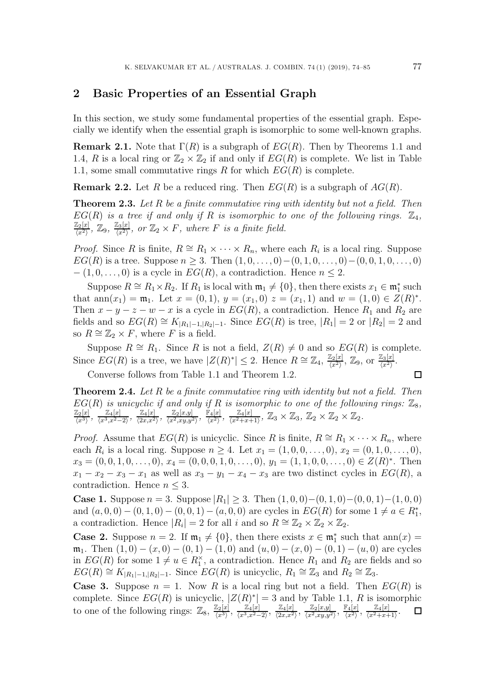#### **2 Basic Properties of an Essential Graph**

In this section, we study some fundamental properties of the essential graph. Especially we identify when the essential graph is isomorphic to some well-known graphs.

**Remark 2.1.** Note that  $\Gamma(R)$  is a subgraph of  $EG(R)$ . Then by Theorems 1.1 and 1.4, R is a local ring or  $\mathbb{Z}_2 \times \mathbb{Z}_2$  if and only if  $EG(R)$  is complete. We list in Table 1.1, some small commutative rings R for which  $EG(R)$  is complete.

**Remark 2.2.** Let R be a reduced ring. Then  $EG(R)$  is a subgraph of  $AG(R)$ .

**Theorem 2.3.** *Let* R *be a finite commutative ring with identity but not a field. Then*  $EG(R)$  *is a tree if and only if* R *is isomorphic to one of the following rings.*  $\mathbb{Z}_4$ ,  $\frac{\mathbb{Z}_2[x]}{\langle x^2 \rangle}$ ,  $\mathbb{Z}_9$ ,  $\frac{\mathbb{Z}_3[x]}{\langle x^2 \rangle}$ , or  $\mathbb{Z}_2 \times F$ , where *F* is a finite field.

*Proof.* Since R is finite,  $R \cong R_1 \times \cdots \times R_n$ , where each  $R_i$  is a local ring. Suppose  $EG(R)$  is a tree. Suppose  $n \geq 3$ . Then  $(1,0,\ldots,0)-(0,1,0,\ldots,0)-(0,0,1,0,\ldots,0)$  $- (1, 0, \ldots, 0)$  is a cycle in  $EG(R)$ , a contradiction. Hence  $n \leq 2$ .

Suppose  $R \cong R_1 \times R_2$ . If  $R_1$  is local with  $\mathfrak{m}_1 \neq \{0\}$ , then there exists  $x_1 \in \mathfrak{m}_1^*$  such that ann $(x_1) = \mathfrak{m}_1$ . Let  $x = (0, 1), y = (x_1, 0)$   $z = (x_1, 1)$  and  $w = (1, 0) \in Z(R)^*$ . Then  $x - y - z - w - x$  is a cycle in  $EG(R)$ , a contradiction. Hence  $R_1$  and  $R_2$  are fields and so  $EG(R) \cong K_{|R_1|-1,|R_2|-1}$ . Since  $EG(R)$  is tree,  $|R_1| = 2$  or  $|R_2| = 2$  and so  $R \cong \mathbb{Z}_2 \times F$ , where F is a field.

Suppose  $R \cong R_1$ . Since R is not a field,  $Z(R) \neq 0$  and so  $EG(R)$  is complete. Since  $EG(R)$  is a tree, we have  $|Z(R)^*| \leq 2$ . Hence  $R \cong \mathbb{Z}_4$ ,  $\frac{\mathbb{Z}_2[x]}{\langle x^2 \rangle}$ ,  $\mathbb{Z}_9$ , or  $\frac{\mathbb{Z}_3[x]}{\langle x^2 \rangle}$ .

Converse follows from Table 1.1 and Theorem 1.2.

**Theorem 2.4.** *Let* R *be a finite commutative ring with identity but not a field. Then*  $EG(R)$  *is unicyclic if and only if* R *is isomorphic to one of the following rings:*  $\mathbb{Z}_8$ *,*  $\frac{\mathbb{Z}_2[x]}{\langle x^3 \rangle}, \frac{\mathbb{Z}_4[x]}{\langle x^3, x^2-2 \rangle}, \frac{\mathbb{Z}_4[x]}{\langle 2x, x^2 \rangle}, \frac{\mathbb{Z}_2[x, y]}{\langle x^2, xy, y^2 \rangle}, \frac{\mathbb{F}_4[x]}{\langle x^2 \rangle}, \frac{\mathbb{Z}_4[x]}{\langle x^2+x+1 \rangle}, \mathbb{Z}_3 \times \mathbb{Z}_3, \mathbb{Z}_2 \times \mathbb{Z}_2 \times \mathbb{Z}_2.$ 

*Proof.* Assume that  $EG(R)$  is unicyclic. Since R is finite,  $R \cong R_1 \times \cdots \times R_n$ , where each  $R_i$  is a local ring. Suppose  $n \geq 4$ . Let  $x_1 = (1, 0, 0, \ldots, 0), x_2 = (0, 1, 0, \ldots, 0),$  $x_3 = (0, 0, 1, 0, \ldots, 0), x_4 = (0, 0, 0, 1, 0, \ldots, 0), y_1 = (1, 1, 0, 0, \ldots, 0) \in Z(R)^*$ . Then  $x_1 - x_2 - x_3 - x_1$  as well as  $x_3 - y_1 - x_4 - x_3$  are two distinct cycles in  $EG(R)$ , a contradiction. Hence  $n \leq 3$ .

**Case 1.** Suppose  $n = 3$ . Suppose  $|R_1| \geq 3$ . Then  $(1, 0, 0) - (0, 1, 0) - (0, 0, 1) - (1, 0, 0)$ and  $(a, 0, 0) - (0, 1, 0) - (0, 0, 1) - (a, 0, 0)$  are cycles in  $EG(R)$  for some  $1 \neq a \in R_1^*$ , a contradiction. Hence  $|R_i| = 2$  for all i and so  $R \cong \mathbb{Z}_2 \times \mathbb{Z}_2 \times \mathbb{Z}_2$ .

**Case 2.** Suppose  $n = 2$ . If  $\mathfrak{m}_1 \neq \{0\}$ , then there exists  $x \in \mathfrak{m}_1^*$  such that  $ann(x) =$  $\mathfrak{m}_1$ . Then  $(1,0) - (x,0) - (0,1) - (1,0)$  and  $(u,0) - (x,0) - (0,1) - (u,0)$  are cycles in  $EG(R)$  for some  $1 \neq u \in R_1^{\times}$ , a contradiction. Hence  $R_1$  and  $R_2$  are fields and so  $EG(R) \cong K_{|R_1|-1, |R_2|-1}$ . Since  $EG(R)$  is unicyclic,  $R_1 \cong \mathbb{Z}_3$  and  $R_2 \cong \mathbb{Z}_3$ .

**Case 3.** Suppose  $n = 1$ . Now R is a local ring but not a field. Then  $EG(R)$  is complete. Since  $EG(R)$  is unicyclic,  $|Z(R)^*| = 3$  and by Table 1.1, R is isomorphic to one of the following rings:  $\mathbb{Z}_8$ ,  $\frac{\mathbb{Z}_2[x]}{\langle x^3 \rangle}$ ,  $\frac{\mathbb{Z}_4[x]}{\langle x^3, x^2-2 \rangle}$ ,  $\frac{\mathbb{Z}_4[x]}{\langle 2x, x^2 \rangle}$ ,  $\frac{\mathbb{Z}_2[x,y]}{\langle x^2, xy, y^2 \rangle}$ ,  $\frac{\mathbb{F}_4[x]}{\langle x^2 \rangle}$ ,  $\frac{\mathbb{Z}_4[x]}{\langle x^2+x+1 \rangle}$ .

 $\Box$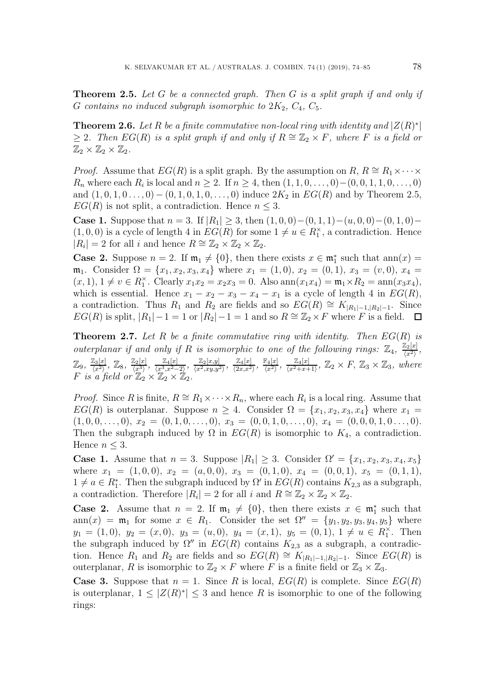**Theorem 2.5.** *Let* G *be a connected graph. Then* G *is a split graph if and only if* G contains no induced subgraph isomorphic to  $2K_2$ ,  $C_4$ ,  $C_5$ .

**Theorem 2.6.** *Let* R *be a finite commutative non-local ring with identity and*  $|Z(R)^*|$ > 2*.* Then  $EG(R)$  is a split graph if and only if  $R \cong \mathbb{Z}_2 \times F$ , where F is a field or  $\mathbb{Z}_2 \times \mathbb{Z}_2 \times \mathbb{Z}_2$ .

*Proof.* Assume that  $EG(R)$  is a split graph. By the assumption on  $R, R \cong R_1 \times \cdots \times R_n$  $R_n$  where each  $R_i$  is local and  $n \geq 2$ . If  $n \geq 4$ , then  $(1, 1, 0, \ldots, 0) - (0, 0, 1, 1, 0, \ldots, 0)$ and  $(1, 0, 1, 0, \ldots, 0) - (0, 1, 0, 1, 0, \ldots, 0)$  induce  $2K_2$  in  $EG(R)$  and by Theorem 2.5,  $EG(R)$  is not split, a contradiction. Hence  $n \leq 3$ .

**Case 1.** Suppose that  $n = 3$ . If  $|R_1| \geq 3$ , then  $(1, 0, 0) - (0, 1, 1) - (u, 0, 0) - (0, 1, 0) (1,0,0)$  is a cycle of length 4 in  $EG(R)$  for some  $1 \neq u \in R_1^{\times}$ , a contradiction. Hence  $|R_i| = 2$  for all *i* and hence  $R \cong \mathbb{Z}_2 \times \mathbb{Z}_2 \times \mathbb{Z}_2$ .

**Case 2.** Suppose  $n = 2$ . If  $\mathfrak{m}_1 \neq \{0\}$ , then there exists  $x \in \mathfrak{m}_1^*$  such that  $ann(x) =$  $\mathfrak{m}_1$ . Consider  $\Omega = \{x_1, x_2, x_3, x_4\}$  where  $x_1 = (1, 0), x_2 = (0, 1), x_3 = (v, 0), x_4 =$  $(x, 1), 1 \neq v \in R_1^{\times}$ . Clearly  $x_1x_2 = x_2x_3 = 0$ . Also  $\text{ann}(x_1x_4) = \text{m}_1 \times R_2 = \text{ann}(x_3x_4)$ , which is essential. Hence  $x_1 - x_2 - x_3 - x_4 - x_1$  is a cycle of length 4 in  $EG(R)$ , a contradiction. Thus  $R_1$  and  $R_2$  are fields and so  $EG(R) \cong K_{|R_1|-1,|R_2|-1}$ . Since  $EG(R)$  is split,  $|R_1|-1=1$  or  $|R_2|-1=1$  and so  $R \cong \mathbb{Z}_2 \times F$  where F is a field.  $\Box$ 

**Theorem 2.7.** *Let* R *be a finite commutative ring with identity. Then* EG(R) *is outerplanar if and only if* R *is isomorphic to one of the following rings:*  $\mathbb{Z}_4$ ,  $\frac{\mathbb{Z}_2[x]}{\langle x^2 \rangle}$ ,  $\frac{\mathbb{Z}_2[x]}{\langle x^2 \rangle},$  $\mathbb{Z}_9$ ,  $\frac{\mathbb{Z}_3[x]}{\langle x^2 \rangle}$ ,  $\mathbb{Z}_8$ ,  $\frac{\mathbb{Z}_2[x]}{\langle x^3 \rangle}$ ,  $\frac{\mathbb{Z}_4[x]}{\langle x^3, x^2-2 \rangle}$ ,  $\frac{\mathbb{Z}_2[x,y]}{\langle x^2, xy, y^2 \rangle}$ ,  $\frac{\mathbb{Z}_4[x]}{\langle 2x, x^2 \rangle}$ ,  $\frac{\mathbb{E}_4[x]}{\langle x^2 \rangle}$ ,  $\frac{\mathbb{Z}_4[x]}{\langle x^2+x+1 \rangle}$ ,  $\mathbb{Z}_2 \times F$ ,  $\mathbb$ 

*Proof.* Since R is finite,  $R \cong R_1 \times \cdots \times R_n$ , where each  $R_i$  is a local ring. Assume that  $EG(R)$  is outerplanar. Suppose  $n \geq 4$ . Consider  $\Omega = \{x_1, x_2, x_3, x_4\}$  where  $x_1 =$  $(1, 0, 0, \ldots, 0), x_2 = (0, 1, 0, \ldots, 0), x_3 = (0, 0, 1, 0, \ldots, 0), x_4 = (0, 0, 0, 1, 0, \ldots, 0).$ Then the subgraph induced by  $\Omega$  in  $EG(R)$  is isomorphic to  $K_4$ , a contradiction. Hence  $n \leq 3$ .

**Case 1.** Assume that  $n = 3$ . Suppose  $|R_1| > 3$ . Consider  $\Omega' = \{x_1, x_2, x_3, x_4, x_5\}$ where  $x_1 = (1, 0, 0), x_2 = (a, 0, 0), x_3 = (0, 1, 0), x_4 = (0, 0, 1), x_5 = (0, 1, 1),$  $1 \neq a \in R_1^*$ . Then the subgraph induced by  $\Omega'$  in  $EG(R)$  contains  $K_{2,3}$  as a subgraph, a contradiction. Therefore  $|R_i|=2$  for all i and  $R \cong \mathbb{Z}_2 \times \mathbb{Z}_2 \times \mathbb{Z}_2$ .

**Case 2.** Assume that  $n = 2$ . If  $\mathfrak{m}_1 \neq \{0\}$ , then there exists  $x \in \mathfrak{m}_1^*$  such that ann $(x) = \mathfrak{m}_1$  for some  $x \in R_1$ . Consider the set  $\Omega'' = \{y_1, y_2, y_3, y_4, y_5\}$  where  $y_1 = (1,0), y_2 = (x,0), y_3 = (u,0), y_4 = (x,1), y_5 = (0,1), 1 \neq u \in R_1^{\times}$ . Then the subgraph induced by  $\Omega''$  in  $EG(R)$  contains  $K_{2,3}$  as a subgraph, a contradiction. Hence  $R_1$  and  $R_2$  are fields and so  $EG(R) \cong K_{|R_1|-1,|R_2|-1}$ . Since  $EG(R)$  is outerplanar, R is isomorphic to  $\mathbb{Z}_2 \times F$  where F is a finite field or  $\mathbb{Z}_3 \times \mathbb{Z}_3$ .

**Case 3.** Suppose that  $n = 1$ . Since R is local,  $EG(R)$  is complete. Since  $EG(R)$ is outerplanar,  $1 \leq |Z(R)^*| \leq 3$  and hence R is isomorphic to one of the following rings: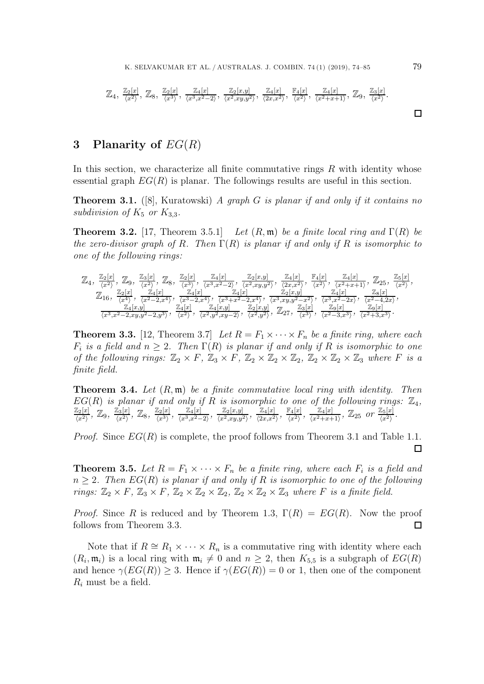$$
\mathbb{Z}_4, \frac{\mathbb{Z}_2[x]}{\langle x^2 \rangle}, \mathbb{Z}_8, \frac{\mathbb{Z}_2[x]}{\langle x^3 \rangle}, \frac{\mathbb{Z}_4[x]}{\langle x^3, x^2 - 2 \rangle}, \frac{\mathbb{Z}_2[x,y]}{\langle x^2, xy, y^2 \rangle}, \frac{\mathbb{Z}_4[x]}{\langle 2x, x^2 \rangle}, \frac{\mathbb{F}_4[x]}{\langle x^2 \rangle}, \frac{\mathbb{Z}_4[x]}{\langle x^2 + x + 1 \rangle}, \mathbb{Z}_9, \frac{\mathbb{Z}_3[x]}{\langle x^2 \rangle}.
$$

#### **3 Planarity of** EG(R)

In this section, we characterize all finite commutative rings  $R$  with identity whose essential graph  $EG(R)$  is planar. The followings results are useful in this section.

**Theorem 3.1.** ([8], Kuratowski) *A graph* G *is planar if and only if it contains no subdivision of*  $K_5$  *or*  $K_{3,3}$ *.* 

**Theorem 3.2.** [17, Theorem 3.5.1] *Let*  $(R, \mathfrak{m})$  *be a finite local ring and*  $\Gamma(R)$  *be the zero-divisor graph of* R*. Then* Γ(R) *is planar if and only if* R *is isomorphic to one of the following rings:*

$$
\mathbb{Z}_{4}, \frac{\mathbb{Z}_{2}[x]}{\langle x^{2}\rangle}, \mathbb{Z}_{9}, \frac{\mathbb{Z}_{3}[x]}{\langle x^{2}\rangle}, \mathbb{Z}_{8}, \frac{\mathbb{Z}_{2}[x]}{\langle x^{3}\rangle}, \frac{\mathbb{Z}_{4}[x]}{\langle x^{3}, x^{2}-2\rangle}, \frac{\mathbb{Z}_{2}[x,y]}{\langle x^{2}, xy,y^{2}\rangle}, \frac{\mathbb{Z}_{4}[x]}{\langle 2x, x^{2}\rangle}, \frac{\mathbb{Z}_{4}[x]}{\langle x^{2}\rangle}, \frac{\mathbb{Z}_{4}[x]}{\langle x^{2}+x+1\rangle}, \mathbb{Z}_{25}, \frac{\mathbb{Z}_{5}[x]}{\langle x^{2}\rangle},
$$
  

$$
\mathbb{Z}_{16}, \frac{\mathbb{Z}_{2}[x]}{\langle x^{4}\rangle}, \frac{\mathbb{Z}_{4}[x]}{\langle x^{2}-2,x^{4}\rangle}, \frac{\mathbb{Z}_{4}[x]}{\langle x^{3}-2,x^{4}\rangle}, \frac{\mathbb{Z}_{4}[x]}{\langle x^{3}+x^{2}-2,x^{4}\rangle}, \frac{\mathbb{Z}_{2}[x,y]}{\langle x^{3}, xy,y^{2}-x^{2}\rangle}, \frac{\mathbb{Z}_{4}[x]}{\langle x^{3}, x^{2}-2x\rangle}, \frac{\mathbb{Z}_{8}[x]}{\langle x^{2}-4, 2x\rangle},
$$
  

$$
\frac{\mathbb{Z}_{4}[x,y]}{\langle x^{3}, x^{2}-2, xy,y^{2}-2,y^{3}\rangle}, \frac{\mathbb{Z}_{4}[x]}{\langle x^{2}\rangle}, \frac{\mathbb{Z}_{4}[x,y]}{\langle x^{2}, y^{2}, xy-2\rangle}, \frac{\mathbb{Z}_{2}[x,y]}{\langle x^{2}, y^{2}\rangle}, \frac{\mathbb{Z}_{2}[x,y]}{\langle x^{2}, y^{2}\rangle}, \frac{\mathbb{Z}_{3}[x]}{\langle x^{3}\rangle}, \frac{\mathbb{Z}_{9}[x]}{\langle x^{2}-3, x^{3}\rangle}, \frac{\mathbb{Z}_{9}[x]}{\langle x^{2}+3, x^{3}\rangle}.
$$

**Theorem 3.3.** [12, Theorem 3.7] *Let*  $R = F_1 \times \cdots \times F_n$  *be a finite ring, where each*  $F_i$  *is a field and*  $n \geq 2$ *. Then*  $\Gamma(R)$  *is planar if and only if* R *is isomorphic to one of the following rings:*  $\mathbb{Z}_2 \times F$ ,  $\mathbb{Z}_3 \times F$ ,  $\mathbb{Z}_2 \times \mathbb{Z}_2 \times \mathbb{Z}_2$ ,  $\mathbb{Z}_2 \times \mathbb{Z}_2 \times \mathbb{Z}_3$  *where* F *is a finite field.*

**Theorem 3.4.** *Let* (R, m) *be a finite commutative local ring with identity. Then*  $EG(R)$  is planar if and only if R is isomorphic to one of the following rings:  $\mathbb{Z}_4$ ,  $\frac{\mathbb{Z}_2[x]}{\langle x^2 \rangle}$ ,  $\mathbb{Z}_9$ ,  $\frac{\mathbb{Z}_3[x]}{\langle x^2 \rangle}$ ,  $\mathbb{Z}_8$ ,  $\frac{\mathbb{Z}_2[x]}{\langle x^3 \rangle}$ ,  $\frac{\mathbb{Z}_4[x]}{\langle x^3, x^2-2 \rangle}$ ,  $\frac{\mathbb{Z}_2[x,y]}{\langle x^2, xy, y^2 \rangle}$ ,  $\frac{\mathbb{Z}_4[x]}{\langle 2x, x^2 \rangle}$ ,  $\frac{\mathbb{F}_4[x]}{\langle x^2 \rangle}$ ,  $\frac{\mathbb{Z}_4[x]}{\langle x^2+x+1 \$ 

*Proof.* Since  $EG(R)$  is complete, the proof follows from Theorem 3.1 and Table 1.1.  $\Box$ 

**Theorem 3.5.** Let  $R = F_1 \times \cdots \times F_n$  be a finite ring, where each  $F_i$  is a field and  $n \geq 2$ . Then  $EG(R)$  is planar if and only if R is isomorphic to one of the following *rings:*  $\mathbb{Z}_2 \times F$ ,  $\mathbb{Z}_3 \times F$ ,  $\mathbb{Z}_2 \times \mathbb{Z}_2 \times \mathbb{Z}_2$ ,  $\mathbb{Z}_2 \times \mathbb{Z}_2 \times \mathbb{Z}_3$  *where F is a finite field.* 

*Proof.* Since R is reduced and by Theorem 1.3,  $\Gamma(R) = EG(R)$ . Now the proof follows from Theorem 3.3.  $\Box$ 

Note that if  $R \cong R_1 \times \cdots \times R_n$  is a commutative ring with identity where each  $(R_i, \mathfrak{m}_i)$  is a local ring with  $\mathfrak{m}_i \neq 0$  and  $n \geq 2$ , then  $K_{5,5}$  is a subgraph of  $EG(R)$ and hence  $\gamma(EG(R)) \geq 3$ . Hence if  $\gamma(EG(R)) = 0$  or 1, then one of the component <sup>R</sup>*i* must be a field.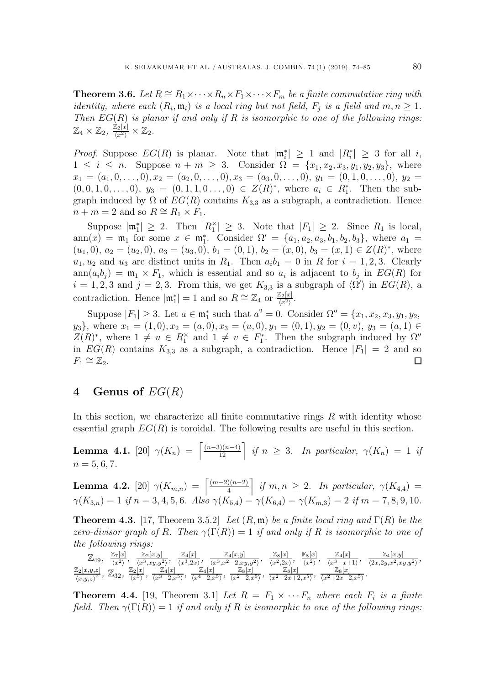**Theorem 3.6.** *Let*  $R \cong R_1 \times \cdots \times R_n \times F_1 \times \cdots \times F_m$  *be a finite commutative ring with identity, where each*  $(R_i, \mathfrak{m}_i)$  *is a local ring but not field,*  $F_j$  *is a field and*  $m, n \geq 1$ *. Then* EG(R) *is planar if and only if* R *is isomorphic to one of the following rings:*  $\mathbb{Z}_4 \times \mathbb{Z}_2, \ \frac{\mathbb{Z}_2[x]}{\langle x^2 \rangle} \times \mathbb{Z}_2.$ 

*Proof.* Suppose  $EG(R)$  is planar. Note that  $|\mathfrak{m}_i^*| \geq 1$  and  $|R_i^*| \geq 3$  for all i,  $1 \leq i \leq n$  Suppose  $n + m \geq 3$  Consider  $\Omega = \{x, x, x, y, y, y, y\}$  where  $1 \leq i \leq n$ . Suppose  $n + m \geq 3$ . Consider  $\Omega = \{x_1, x_2, x_3, y_1, y_2, y_3\}$ , where  $x_1 = (a_1, 0, \ldots, 0), x_2 = (a_2, 0, \ldots, 0), x_3 = (a_3, 0, \ldots, 0), y_1 = (0, 1, 0, \ldots, 0), y_2 =$  $(0, 0, 1, 0, \ldots, 0), y_3 = (0, 1, 1, 0, \ldots, 0) \in Z(R)^*$ , where  $a_i \in R^*_1$ . Then the subgraph induced by  $\Omega$  of  $EG(R)$  contains  $K_{3,3}$  as a subgraph, a contradiction. Hence  $n + m = 2$  and so  $R \cong R_1 \times F_1$ .

Suppose  $|\mathfrak{m}_1^*| \geq 2$ . Then  $|R_1^*| \geq 3$ . Note that  $|F_1| \geq 2$ . Since  $R_1$  is local, ann $(x) = \mathfrak{m}_1$  for some  $x \in \mathfrak{m}_1^*$ . Consider  $\Omega' = \{a_1, a_2, a_3, b_1, b_2, b_3\}$ , where  $a_1 =$  $(u_1, 0), a_2 = (u_2, 0), a_3 = (u_3, 0), b_1 = (0, 1), b_2 = (x, 0), b_3 = (x, 1) \in Z(R)^*$ , where  $u_1, u_2$  and  $u_3$  are distinct units in  $R_1$ . Then  $a_i b_1 = 0$  in R for  $i = 1, 2, 3$ . Clearly  $ann(a_i b_j) = \mathfrak{m}_1 \times F_1$ , which is essential and so  $a_i$  is adjacent to  $b_j$  in  $EG(R)$  for  $i = 1, 2, 3$  and  $j = 2, 3$ . From this, we get  $K_{3,3}$  is a subgraph of  $\langle \Omega' \rangle$  in  $EG(R)$ , a contradiction. Hence  $|\mathfrak{m}_1^*| = 1$  and so  $R \cong \mathbb{Z}_4$  or  $\frac{\mathbb{Z}_2[x]}{\langle x^2 \rangle}$ .

Suppose  $|F_1| \geq 3$ . Let  $a \in \mathfrak{m}_1^*$  such that  $a^2 = 0$ . Consider  $\Omega'' = \{x_1, x_2, x_3, y_1, y_2,$  $y_3$ , where  $x_1 = (1, 0), x_2 = (a, 0), x_3 = (u, 0), y_1 = (0, 1), y_2 = (0, v), y_3 = (a, 1) \in$  $Z(R)^*$ , where  $1 \neq u \in R_1^{\times}$  and  $1 \neq v \in F_1^*$ . Then the subgraph induced by  $\Omega''$ in  $EG(R)$  contains  $K_{3,3}$  as a subgraph, a contradiction. Hence  $|F_1| = 2$  and so  $F_1 \cong \mathbb{Z}_2$ .  $F_1 \cong \mathbb{Z}_2$ .

#### **4 Genus of** EG(R)

In this section, we characterize all finite commutative rings  $R$  with identity whose essential graph  $EG(R)$  is toroidal. The following results are useful in this section.

**Lemma 4.1.** [20]  $\gamma(K_n) = \left[ \frac{(n-3)(n-4)}{12} \right]$  *if*  $n \geq 3$ *. In particular,*  $\gamma(K_n) = 1$  *if*  $n = 5, 6, 7.$ 

**Lemma 4.2.** [20]  $\gamma(K_{m,n}) = \left[\frac{(m-2)(n-2)}{4}\right]$  *if*  $m, n \geq 2$ *. In particular,*  $\gamma(K_{4,4}) =$  $\gamma(K_{3,n})=1$  *if*  $n = 3, 4, 5, 6$ *. Also*  $\gamma(K_{5,4}) = \gamma(K_{6,4}) = \gamma(K_{m,3})=2$  *if*  $m = 7, 8, 9, 10$ *.* 

**Theorem 4.3.** [17, Theorem 3.5.2] *Let*  $(R, \mathfrak{m})$  *be a finite local ring and*  $\Gamma(R)$  *be the zero-divisor graph of* R. Then  $\gamma(\Gamma(R)) = 1$  *if and only if* R *is isomorphic to one of the following rings:*

 $\mathbb{Z}_{49}, \quad \frac{\mathbb{Z}_7[x]}{\langle x^2 \rangle}, \quad \frac{\mathbb{Z}_2[x,y]}{\langle x^3, xy, y^2 \rangle}, \quad \frac{\mathbb{Z}_4[x]}{\langle x^3, x^2 \rangle}, \quad \frac{\mathbb{Z}_4[x,y]}{\langle x^3, x^2 - 2, xy, y^2 \rangle}, \quad \frac{\mathbb{Z}_8[x]}{\langle x^2, 2x \rangle}, \quad \frac{\mathbb{E}_8[x]}{\langle x^2 \rangle}, \quad \frac{\mathbb{Z}_4[x]}{\langle x^3 + x + 1 \rangle}, \quad \frac{\mathbb{Z}_4[x,y]}{\langle 2x, 2y, x^2, xy,$  $\frac{\mathbb{Z}_2[x,y,z]}{\sqrt{m} \omega x^2}$  $\frac{\mathbb{Z}_2[x,y,z]}{\langle x,y,z\rangle^2}, \ \mathbb{Z}_32, \ \frac{\mathbb{Z}_2[x]}{\langle x^5\rangle}, \ \frac{\mathbb{Z}_4[x]}{\langle x^3-2,x^5\rangle}, \ \frac{\mathbb{Z}_4[x]}{\langle x^4-2,x^5\rangle}, \ \frac{\mathbb{Z}_8[x]}{\langle x^2-2,x^5\rangle}, \ \frac{\mathbb{Z}_8[x]}{\langle x^2-2x+2,x^5\rangle}, \ \frac{\mathbb{Z}_8[x]}{\langle x^2+2x-2,x^5\rangle}.$ 

**Theorem 4.4.** [19, Theorem 3.1] Let  $R = F_1 \times \cdots F_n$  where each  $F_i$  is a finite *field. Then*  $\gamma(\Gamma(R)) = 1$  *if and only if* R *is isomorphic to one of the following rings:*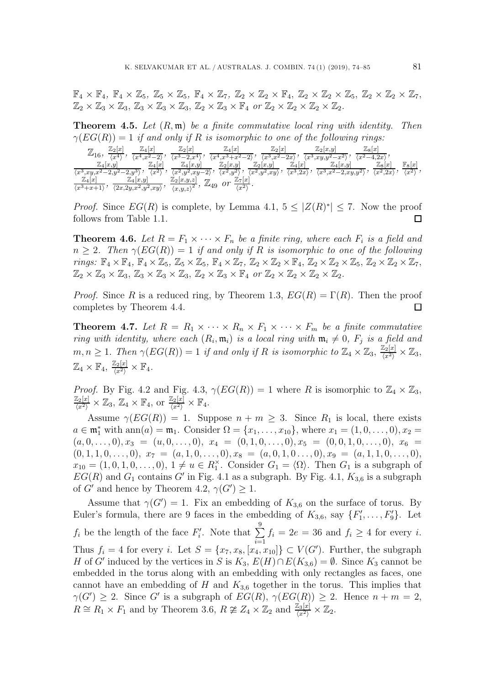$\mathbb{F}_4 \times \mathbb{F}_4$ ,  $\mathbb{F}_4 \times \mathbb{Z}_5$ ,  $\mathbb{Z}_5 \times \mathbb{Z}_5$ ,  $\mathbb{F}_4 \times \mathbb{Z}_7$ ,  $\mathbb{Z}_2 \times \mathbb{Z}_2 \times \mathbb{F}_4$ ,  $\mathbb{Z}_2 \times \mathbb{Z}_2 \times \mathbb{Z}_5$ ,  $\mathbb{Z}_2 \times \mathbb{Z}_2 \times \mathbb{Z}_7$ ,  $\mathbb{Z}_2 \times \mathbb{Z}_3 \times \mathbb{Z}_3$ ,  $\mathbb{Z}_3 \times \mathbb{Z}_3 \times \mathbb{Z}_3$ ,  $\mathbb{Z}_2 \times \mathbb{Z}_3 \times \mathbb{F}_4$  or  $\mathbb{Z}_2 \times \mathbb{Z}_2 \times \mathbb{Z}_2 \times \mathbb{Z}_2$ .

**Theorem 4.5.** *Let* (R, m) *be a finite commutative local ring with identity. Then*  $\gamma(EG(R)) = 1$  *if and only if* R *is isomorphic to one of the following rings:* 

|                                      | $\mathbb{Z}_2[x]$<br>$\mathbb{Z}_4[x]$                               | $\mathbb{Z}_2[x]$                              | $\mathbb{Z}_4[x]$                                | $\mathbb{Z}_2[x]$            |                           | $\mathbb{Z}_2[x,y]$                   | $\mathbb{Z}_8[x]$         |                     |
|--------------------------------------|----------------------------------------------------------------------|------------------------------------------------|--------------------------------------------------|------------------------------|---------------------------|---------------------------------------|---------------------------|---------------------|
| $\omega_{16}$                        | $\Omega$<br>$m^4$ $m^2$ .<br>$x^4$                                   | $\overline{x^3}$<br>$-2x^{4}$                  | $\langle x^4, x^3 + x^2 - 2 \rangle$<br>$\Omega$ | $\langle x^3,x^2-2x\rangle$  |                           | $\overline{y}^3, xy, y^2 - x^2$ ,     | $\langle x^2-4,2x\rangle$ |                     |
| $\mathbb{Z}_4[x,y]$                  | $\mathbb{Z}_4[x]$                                                    | $\mathbb{Z}_4[x,y]$                            | $\mathbb{Z}_2[x,y]$                              | $\mathbb{Z}_2[x,y]$          | $\mathbb{Z}_4[x]$         | $\mathbb{Z}_4$<br> x,y                | $\mathbb{Z}_8[x]$         | $\mathbb{F}_{8}[x]$ |
| $\langle x^3 \rangle$<br>$, xy, x^2$ | $\sqrt{2}$<br>$2.11^{\circ}$<br>$\angle$ , $y$ $\angle$<br>$\ddotsc$ | $\langle x^2,y^2,xy-\rangle$<br>$\Omega$<br>41 | $\langle x^2,y^2\rangle$                         | $\langle x^2,y^2,xy \rangle$ | $\langle x^3, 2x \rangle$ | $\langle x^3, x^2-2, xy, y^2 \rangle$ | $\langle x^2, 2x \rangle$ | $\sqrt{x^2}$        |
| $\mathbb{Z}_4[x]$                    | $\mathbb{Z}_4[x,y]$                                                  | $\mathbb{Z}_2[x,y,z]$<br>$\overline{r}$        | $\mathbb{Z}_7[x]$<br>or                          |                              |                           |                                       |                           |                     |
| $(r^{3}+r+1)$<br>ىپ-                 | $\langle 2x, 2y, x^2, y^2, xy \rangle$                               | $\mu_{49}$<br>(x,y,z)                          | $x^{2}$                                          |                              |                           |                                       |                           |                     |
|                                      |                                                                      |                                                |                                                  |                              |                           |                                       |                           |                     |

*Proof.* Since  $EG(R)$  is complete, by Lemma 4.1,  $5 \leq |Z(R)^*| \leq 7$ . Now the proof follows from Table 1.1.  $\Box$ 

**Theorem 4.6.** Let  $R = F_1 \times \cdots \times F_n$  be a finite ring, where each  $F_i$  is a field and  $n \geq 2$ *. Then*  $\gamma(EG(R)) = 1$  *if and only if* R *is isomorphic to one of the following rings:*  $\mathbb{F}_4 \times \mathbb{F}_4$ ,  $\mathbb{F}_4 \times \mathbb{Z}_5$ ,  $\mathbb{Z}_5 \times \mathbb{Z}_5$ ,  $\mathbb{F}_4 \times \mathbb{Z}_7$ ,  $\mathbb{Z}_2 \times \mathbb{Z}_2 \times \mathbb{F}_4$ ,  $\mathbb{Z}_2 \times \mathbb{Z}_2 \times \mathbb{Z}_5$ ,  $\mathbb{Z}_2 \times \mathbb{Z}_2 \times \mathbb{Z}_7$ ,  $\mathbb{Z}_2 \times \mathbb{Z}_3 \times \mathbb{Z}_3$ ,  $\mathbb{Z}_3 \times \mathbb{Z}_3 \times \mathbb{Z}_3$ ,  $\mathbb{Z}_2 \times \mathbb{Z}_3 \times \mathbb{F}_4$  or  $\mathbb{Z}_2 \times \mathbb{Z}_2 \times \mathbb{Z}_2 \times \mathbb{Z}_2$ .

*Proof.* Since R is a reduced ring, by Theorem 1.3,  $EG(R) = \Gamma(R)$ . Then the proof completes by Theorem 4.4.  $\Box$ 

**Theorem 4.7.** Let  $R = R_1 \times \cdots \times R_n \times F_1 \times \cdots \times F_m$  be a finite commutative *ring with identity, where each*  $(R_i, \mathfrak{m}_i)$  *is a local ring with*  $\mathfrak{m}_i \neq 0$ ,  $F_j$  *is a field and*  $m, n \geq 1$ . Then  $\gamma(EG(R)) = 1$  *if and only if* R *is isomorphic to*  $\mathbb{Z}_4 \times \mathbb{Z}_3$ ,  $\frac{\mathbb{Z}_2[x]}{\langle x^2 \rangle} \times \mathbb{Z}_3$ ,  $\mathbb{Z}_4 \times \mathbb{F}_4$ ,  $\frac{\mathbb{Z}_2[x]}{\langle x^2 \rangle} \times \mathbb{F}_4$ .

*Proof.* By Fig. 4.2 and Fig. 4.3,  $\gamma(EG(R)) = 1$  where R is isomorphic to  $\mathbb{Z}_4 \times \mathbb{Z}_3$ ,  $\frac{\mathbb{Z}_2[x]}{\langle x^2 \rangle} \times \mathbb{Z}_3, \mathbb{Z}_4 \times \mathbb{F}_4, \text{ or } \frac{\mathbb{Z}_2[x]}{\langle x^2 \rangle} \times \mathbb{F}_4.$ 

Assume  $\gamma(EG(R)) = 1$ . Suppose  $n + m \geq 3$ . Since  $R_1$  is local, there exists  $a \in \mathfrak{m}_1^*$  with ann $(a) = \mathfrak{m}_1$ . Consider  $\Omega = \{x_1, \ldots, x_{10}\}$ , where  $x_1 = (1, 0, \ldots, 0), x_2 =$  $(a, 0, \ldots, 0), x_3 = (u, 0, \ldots, 0), x_4 = (0, 1, 0, \ldots, 0), x_5 = (0, 0, 1, 0, \ldots, 0), x_6 =$  $(0, 1, 1, 0, \ldots, 0), x_7 = (a, 1, 0, \ldots, 0), x_8 = (a, 0, 1, 0, \ldots, 0), x_9 = (a, 1, 1, 0, \ldots, 0),$  $x_{10} = (1,0,1,0,\ldots,0), 1 \neq u \in R_1^{\times}$ . Consider  $G_1 = \langle \Omega \rangle$ . Then  $G_1$  is a subgraph of  $EG(R)$  and  $G_1$  contains G' in Fig. 4.1 as a subgraph. By Fig. 4.1,  $K_{3,6}$  is a subgraph of G' and hence by Theorem 4.2,  $\gamma(G') \geq 1$ .

Assume that  $\gamma(G') = 1$ . Fix an embedding of  $K_{3,6}$  on the surface of torus. By Euler's formula, there are 9 faces in the embedding of  $K_{3,6}$ , say  $\{F'_1,\ldots,F'_9\}$ . Let  $f_i$  be the length of the face  $F_i'$ . Note that  $\sum_{i=1}$ 9 *i*=1  $f_i = 2e = 36$  and  $f_i \geq 4$  for every *i*. Thus  $f_i = 4$  for every *i*. Let  $S = \{x_7, x_8, [x_4, x_{10}]\} \subset V(G')$ . Further, the subgraph  $H \circ G'$  in here  $f$  be senitive in  $G \subset V$ ,  $F(H) \circ F(K)$ , and  $G'$  is senitor to H of G' induced by the vertices in S is  $K_3$ ,  $E(H) \cap E(K_{3,6}) = \emptyset$ . Since  $K_3$  cannot be embedded in the torus along with an embedding with only rectangles as faces, one cannot have an embedding of  $H$  and  $K_{3,6}$  together in the torus. This implies that  $\gamma(G') \geq 2$ . Since G' is a subgraph of  $EG(R), \gamma(EG(R)) \geq 2$ . Hence  $n + m = 2$ ,  $R \cong R_1 \times F_1$  and by Theorem 3.6,  $R \ncong Z_4 \times \mathbb{Z}_2$  and  $\frac{\mathbb{Z}_3[x]}{\langle x^2 \rangle} \times \mathbb{Z}_2$ .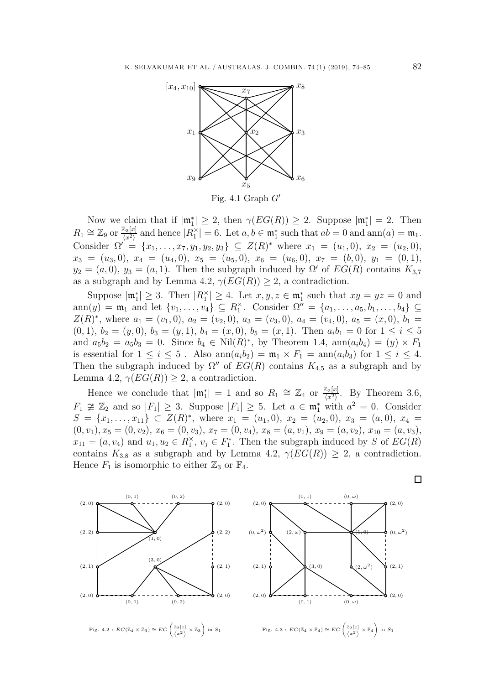

Fig. 4.1 Graph *G*

Now we claim that if  $|\mathfrak{m}_1^*| \geq 2$ , then  $\gamma(EG(R)) \geq 2$ . Suppose  $|\mathfrak{m}_1^*| = 2$ . Then  $R_1 \cong \mathbb{Z}_9$  or  $\frac{\mathbb{Z}_3[x]}{\langle x^2 \rangle}$  and hence  $|R_1^{\times}| = 6$ . Let  $a, b \in \mathfrak{m}_1^*$  such that  $ab = 0$  and  $\text{ann}(a) = \mathfrak{m}_1$ .<br>Consider  $\Omega' = \{x \in \mathbb{Z} \mid x, y \in \mathbb{Z} \mid C, Z(D)^* \text{ where } x = (x, 0), x = (x, 0) \}$ Consider  $\Omega' = \{x_1, \ldots, x_7, y_1, y_2, y_3\} \subseteq Z(R)^*$  where  $x_1 = (u_1, 0), x_2 = (u_2, 0),$  $x_3 = (u_3, 0), x_4 = (u_4, 0), x_5 = (u_5, 0), x_6 = (u_6, 0), x_7 = (b, 0), y_1 = (0, 1),$  $y_2 = (a, 0), y_3 = (a, 1)$ . Then the subgraph induced by  $\Omega'$  of  $EG(R)$  contains  $K_{3,7}$ as a subgraph and by Lemma 4.2,  $\gamma(EG(R)) \geq 2$ , a contradiction.

Suppose  $|\mathfrak{m}_1^*| \geq 3$ . Then  $|R_1^*| \geq 4$ . Let  $x, y, z \in \mathfrak{m}_1^*$  such that  $xy = yz = 0$  and ann $(y) = \mathfrak{m}_1$  and let  $\{v_1, \ldots, v_4\} \subseteq R_1^{\times}$ . Consider  $\Omega'' = \{a_1, \ldots, a_5, b_1, \ldots, b_4\} \subseteq$  $Z(R)^*$ , where  $a_1 = (v_1, 0), a_2 = (v_2, 0), a_3 = (v_3, 0), a_4 = (v_4, 0), a_5 = (x, 0), b_1 =$  $(0, 1), b_2 = (y, 0), b_3 = (y, 1), b_4 = (x, 0), b_5 = (x, 1).$  Then  $a_i b_1 = 0$  for  $1 \le i \le 5$ and  $a_5b_2 = a_5b_3 = 0$ . Since  $b_4 \in Nil(R)^*$ , by Theorem 1.4,  $ann(a_ib_4) = (y) \times F_1$ is essential for  $1 \leq i \leq 5$ . Also  $\text{ann}(a_i b_2) = \mathfrak{m}_1 \times F_1 = \text{ann}(a_i b_3)$  for  $1 \leq i \leq 4$ . Then the subgraph induced by  $\Omega''$  of  $EG(R)$  contains  $K_{4,5}$  as a subgraph and by Lemma 4.2,  $\gamma(EG(R)) \geq 2$ , a contradiction.

Hence we conclude that  $|\mathfrak{m}_1^*| = 1$  and so  $R_1 \cong \mathbb{Z}_4$  or  $\frac{\mathbb{Z}_2[x]}{\langle x^2 \rangle}$ . By Theorem 3.6,  $F_1 \not\cong \mathbb{Z}_2$  and so  $|F_1| \geq 3$ . Suppose  $|F_1| \geq 5$ . Let  $a \in \mathfrak{m}_1^*$  with  $a^2 = 0$ . Consider  $S = \{x_1, \ldots, x_{11}\} \subset Z(R)^*$ , where  $x_1 = (u_1, 0), x_2 = (u_2, 0), x_3 = (a, 0), x_4 =$  $(0, v_1), x_5 = (0, v_2), x_6 = (0, v_3), x_7 = (0, v_4), x_8 = (a, v_1), x_9 = (a, v_2), x_{10} = (a, v_3),$  $x_{11} = (a, v_4)$  and  $u_1, u_2 \in R_1^{\times}$ ,  $v_j \in F_1^*$ . Then the subgraph induced by S of  $EG(R)$ contains  $K_{3,8}$  as a subgraph and by Lemma 4.2,  $\gamma(EG(R)) \geq 2$ , a contradiction. Hence  $F_1$  is isomorphic to either  $\mathbb{Z}_3$  or  $\mathbb{F}_4$ .

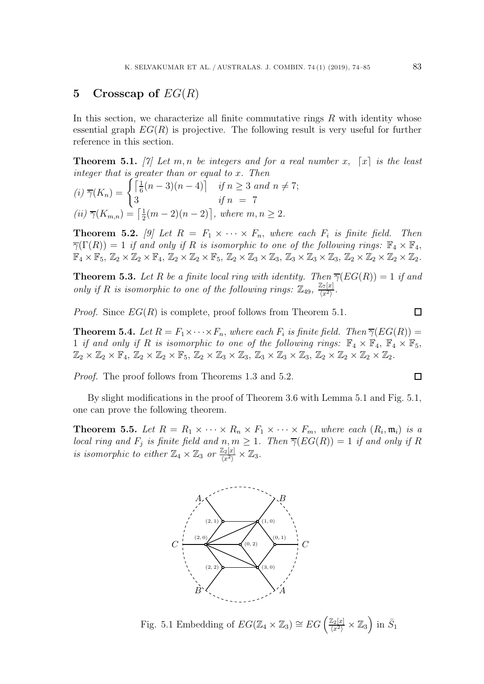# **5 Crosscap of** EG(R)

In this section, we characterize all finite commutative rings  $R$  with identity whose essential graph  $EG(R)$  is projective. The following result is very useful for further reference in this section.

**Theorem 5.1.** [7] Let m, n be integers and for a real number x,  $[x]$  is the least *integer that is greater than or equal to* x*. Then*

$$
(i) \overline{\gamma}(K_n) = \begin{cases} \left[\frac{1}{6}(n-3)(n-4)\right] & \text{if } n \ge 3 \text{ and } n \ne 7; \\ 3 & \text{if } n = 7 \end{cases}
$$

$$
(ii) \overline{\gamma}(K_{m,n}) = \left[\frac{1}{2}(m-2)(n-2)\right], \text{ where } m, n \ge 2.
$$

**Theorem 5.2.** [9] Let  $R = F_1 \times \cdots \times F_n$ , where each  $F_i$  is finite field. Then  $\overline{\gamma}(\Gamma(R)) = 1$  *if and only if* R *is isomorphic to one of the following rings:*  $\mathbb{F}_4 \times \mathbb{F}_4$ ,  $\mathbb{F}_4 \times \mathbb{F}_5$ ,  $\mathbb{Z}_2 \times \mathbb{Z}_2 \times \mathbb{F}_4$ ,  $\mathbb{Z}_2 \times \mathbb{Z}_2 \times \mathbb{F}_5$ ,  $\mathbb{Z}_2 \times \mathbb{Z}_3 \times \mathbb{Z}_3$ ,  $\mathbb{Z}_3 \times \mathbb{Z}_3 \times \mathbb{Z}_3$ ,  $\mathbb{Z}_2 \times \mathbb{Z}_2 \times \mathbb{Z}_2 \times \mathbb{Z}_2$ .

**Theorem 5.3.** *Let* R *be a finite local ring with identity. Then*  $\overline{\gamma}(EG(R)) = 1$  *if and only if* R *is isomorphic to one of the following rings:*  $\mathbb{Z}_{49}$ ,  $\frac{\mathbb{Z}_7[x]}{\langle x^2 \rangle}$ .

*Proof.* Since  $EG(R)$  is complete, proof follows from Theorem 5.1.

**Theorem 5.4.** *Let*  $R = F_1 \times \cdots \times F_n$ , *where each*  $F_i$  *is finite field. Then*  $\overline{\gamma}(EG(R))$  = 1 *if and only if* R *is isomorphic to one of the following rings:*  $\mathbb{F}_4 \times \mathbb{F}_4$ ,  $\mathbb{F}_4 \times \mathbb{F}_5$ ,  $\mathbb{Z}_2 \times \mathbb{Z}_2 \times \mathbb{F}_4,\, \mathbb{Z}_2 \times \mathbb{Z}_2 \times \mathbb{F}_5,\, \mathbb{Z}_2 \times \mathbb{Z}_3 \times \mathbb{Z}_3,\, \mathbb{Z}_3 \times \mathbb{Z}_3 \times \mathbb{Z}_3,\, \mathbb{Z}_2 \times \mathbb{Z}_2 \times \mathbb{Z}_2 \times \mathbb{Z}_2.$ 

*Proof.* The proof follows from Theorems 1.3 and 5.2.

By slight modifications in the proof of Theorem 3.6 with Lemma 5.1 and Fig. 5.1, one can prove the following theorem.

**Theorem 5.5.** Let  $R = R_1 \times \cdots \times R_n \times F_1 \times \cdots \times F_m$ , where each  $(R_i, \mathfrak{m}_i)$  is a *local ring and*  $F_j$  *is finite field and*  $n, m \geq 1$ *. Then*  $\overline{\gamma}(EG(R)) = 1$  *if and only if* R *is isomorphic to either*  $\mathbb{Z}_4 \times \mathbb{Z}_3$  *or*  $\frac{\mathbb{Z}_2[x]}{\langle x^2 \rangle} \times \mathbb{Z}_3$ *.* 



Fig. 5.1 Embedding of  $EG(\mathbb{Z}_4 \times \mathbb{Z}_3) \cong EG\left(\frac{\mathbb{Z}_2[x]}{\langle x^2 \rangle} \times \mathbb{Z}_3\right)$  in  $\bar{S}_1$ 

$$
\square
$$

 $\Box$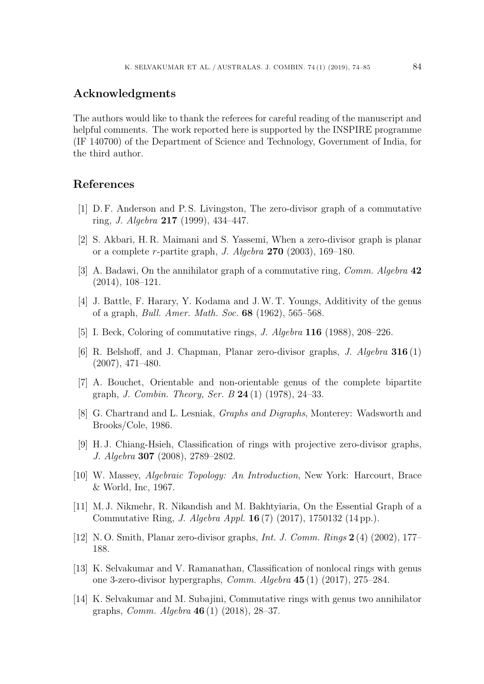#### **Acknowledgments**

The authors would like to thank the referees for careful reading of the manuscript and helpful comments. The work reported here is supported by the INSPIRE programme (IF 140700) of the Department of Science and Technology, Government of India, for the third author.

#### **References**

- [1] D. F. Anderson and P. S. Livingston, The zero-divisor graph of a commutative ring, *J. Algebra* **217** (1999), 434–447.
- [2] S. Akbari, H. R. Maimani and S. Yassemi, When a zero-divisor graph is planar or a complete r-partite graph, *J. Algebra* **270** (2003), 169–180.
- [3] A. Badawi, On the annihilator graph of a commutative ring, *Comm. Algebra* **42** (2014), 108–121.
- [4] J. Battle, F. Harary, Y. Kodama and J.W. T. Youngs, Additivity of the genus of a graph, *Bull. Amer. Math. Soc.* **68** (1962), 565–568.
- [5] I. Beck, Coloring of commutative rings, *J. Algebra* **116** (1988), 208–226.
- [6] R. Belshoff, and J. Chapman, Planar zero-divisor graphs, *J. Algebra* **316** (1) (2007), 471–480.
- [7] A. Bouchet, Orientable and non-orientable genus of the complete bipartite graph, *J. Combin. Theory, Ser. B* **24** (1) (1978), 24–33.
- [8] G. Chartrand and L. Lesniak, *Graphs and Digraphs*, Monterey: Wadsworth and Brooks/Cole, 1986.
- [9] H. J. Chiang-Hsieh, Classification of rings with projective zero-divisor graphs, *J. Algebra* **307** (2008), 2789–2802.
- [10] W. Massey, *Algebraic Topology: An Introduction*, New York: Harcourt, Brace & World, Inc, 1967.
- [11] M. J. Nikmehr, R. Nikandish and M. Bakhtyiaria, On the Essential Graph of a Commutative Ring, *J. Algebra Appl.* **16** (7) (2017), 1750132 (14 pp.).
- [12] N. O. Smith, Planar zero-divisor graphs, *Int. J. Comm. Rings* **2** (4) (2002), 177– 188.
- [13] K. Selvakumar and V. Ramanathan, Classification of nonlocal rings with genus one 3-zero-divisor hypergraphs, *Comm. Algebra* **45** (1) (2017), 275–284.
- [14] K. Selvakumar and M. Subajini, Commutative rings with genus two annihilator graphs, *Comm. Algebra* **46** (1) (2018), 28–37.